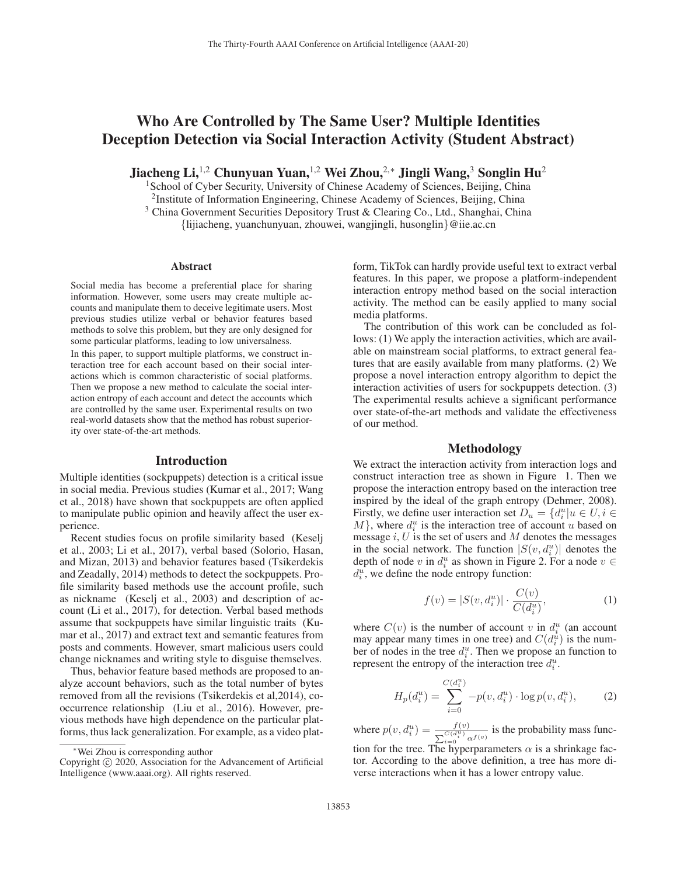# Who Are Controlled by The Same User? Multiple Identities Deception Detection via Social Interaction Activity (Student Abstract)

Jiacheng Li,<sup>1,2</sup> Chunyuan Yuan,<sup>1,2</sup> Wei Zhou,<sup>2,∗</sup> Jingli Wang,<sup>3</sup> Songlin Hu<sup>2</sup>

<sup>1</sup> School of Cyber Security, University of Chinese Academy of Sciences, Beijing, China

2Institute of Information Engineering, Chinese Academy of Sciences, Beijing, China

<sup>3</sup> China Government Securities Depository Trust & Clearing Co., Ltd., Shanghai, China

{lijiacheng, yuanchunyuan, zhouwei, wangjingli, husonglin}@iie.ac.cn

#### Abstract

Social media has become a preferential place for sharing information. However, some users may create multiple accounts and manipulate them to deceive legitimate users. Most previous studies utilize verbal or behavior features based methods to solve this problem, but they are only designed for some particular platforms, leading to low universalness.

In this paper, to support multiple platforms, we construct interaction tree for each account based on their social interactions which is common characteristic of social platforms. Then we propose a new method to calculate the social interaction entropy of each account and detect the accounts which are controlled by the same user. Experimental results on two real-world datasets show that the method has robust superiority over state-of-the-art methods.

### Introduction

Multiple identities (sockpuppets) detection is a critical issue in social media. Previous studies (Kumar et al., 2017; Wang et al., 2018) have shown that sockpuppets are often applied to manipulate public opinion and heavily affect the user experience.

Recent studies focus on profile similarity based (Keselj et al., 2003; Li et al., 2017), verbal based (Solorio, Hasan, and Mizan, 2013) and behavior features based (Tsikerdekis and Zeadally, 2014) methods to detect the sockpuppets. Profile similarity based methods use the account profile, such as nickname (Keselj et al., 2003) and description of account (Li et al., 2017), for detection. Verbal based methods assume that sockpuppets have similar linguistic traits (Kumar et al., 2017) and extract text and semantic features from posts and comments. However, smart malicious users could change nicknames and writing style to disguise themselves.

Thus, behavior feature based methods are proposed to analyze account behaviors, such as the total number of bytes removed from all the revisions (Tsikerdekis et al,2014), cooccurrence relationship (Liu et al., 2016). However, previous methods have high dependence on the particular platforms, thus lack generalization. For example, as a video plat-

form, TikTok can hardly provide useful text to extract verbal features. In this paper, we propose a platform-independent interaction entropy method based on the social interaction activity. The method can be easily applied to many social media platforms.

The contribution of this work can be concluded as follows: (1) We apply the interaction activities, which are available on mainstream social platforms, to extract general features that are easily available from many platforms. (2) We propose a novel interaction entropy algorithm to depict the interaction activities of users for sockpuppets detection. (3) The experimental results achieve a significant performance over state-of-the-art methods and validate the effectiveness of our method.

## Methodology

We extract the interaction activity from interaction logs and construct interaction tree as shown in Figure 1. Then we propose the interaction entropy based on the interaction tree inspired by the ideal of the graph entropy (Dehmer, 2008). Firstly, we define user interaction set  $D_u = \{d_i^u | u \in U, i \in M\}$  where  $d_i^u$  is the interaction tree of account u based on  $M$ , where  $d_i^u$  is the interaction tree of account u based on message  $i$ ,  $U$  is the set of users and  $M$  denotes the messages in the social network. The function  $|S(v, d_i^u)|$  denotes the denth of node  $v$  in  $d_i^u$  as shown in Figure 2. For a node  $v \in$ depth of node v in  $d_i^u$  as shown in Figure 2. For a node  $v \in$  $d_i^u$ , we define the node entropy function:

$$
f(v) = |S(v, d_i^u)| \cdot \frac{C(v)}{C(d_i^u)},
$$
\n(1)

where  $C(v)$  is the number of account v in  $d_i^u$  (an account may appear many times in one tree) and  $C(d_i^u)$  is the nummay appear many times in one tree) and  $C(d_i^u)$  is the num-<br>her of nodes in the tree  $d^u$ . Then we propose an function to ber of nodes in the tree  $d_i^u$ . Then we propose an function to represent the entropy of the interaction tree  $d_i^u$ .

$$
H_p(d_i^u) = \sum_{i=0}^{C(d_i^u)} -p(v, d_i^u) \cdot \log p(v, d_i^u), \tag{2}
$$

where  $p(v, d_i^u) = \frac{f(v)}{\sum_{i=0}^{C(d_i^u)} \alpha^{f(v)}}$  is the probability mass function for the tree. The hyperparameters  $\alpha$  is a shrinkage fac-

tor. According to the above definition, a tree has more diverse interactions when it has a lower entropy value.

<sup>∗</sup>Wei Zhou is corresponding author

Copyright  $\odot$  2020, Association for the Advancement of Artificial Intelligence (www.aaai.org). All rights reserved.